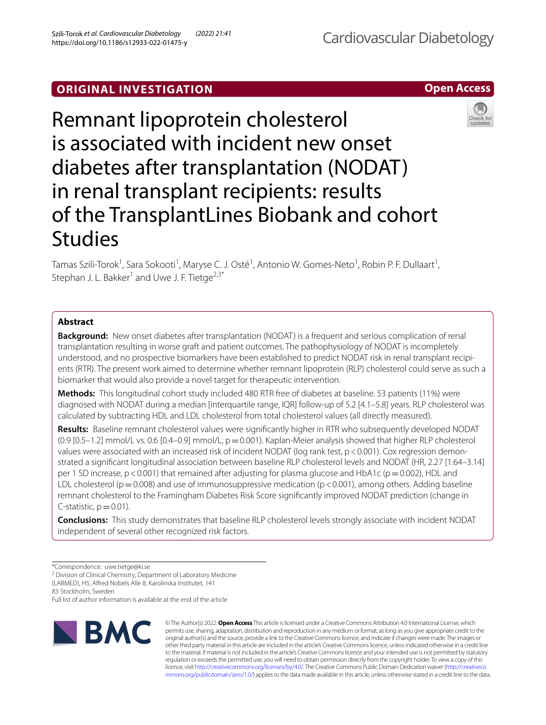# **ORIGINAL INVESTIGATION**





Tamas Szili-Torok<sup>1</sup>, Sara Sokooti<sup>1</sup>, Maryse C. J. Osté<sup>1</sup>, Antonio W. Gomes-Neto<sup>1</sup>, Robin P. F. Dullaart<sup>1</sup>, Stephan J. L. Bakker<sup>1</sup> and Uwe J. F. Tietge<sup>2,3\*</sup>

# **Abstract**

**Background:** New onset diabetes after transplantation (NODAT) is a frequent and serious complication of renal transplantation resulting in worse graft and patient outcomes. The pathophysiology of NODAT is incompletely understood, and no prospective biomarkers have been established to predict NODAT risk in renal transplant recipients (RTR). The present work aimed to determine whether remnant lipoprotein (RLP) cholesterol could serve as such a biomarker that would also provide a novel target for therapeutic intervention.

**Methods:** This longitudinal cohort study included 480 RTR free of diabetes at baseline. 53 patients (11%) were diagnosed with NODAT during a median [interquartile range, IQR] follow-up of 5.2 [4.1–5.8] years. RLP cholesterol was calculated by subtracting HDL and LDL cholesterol from total cholesterol values (all directly measured).

**Results:** Baseline remnant cholesterol values were signifcantly higher in RTR who subsequently developed NODAT  $(0.9 [0.5-1.2]$  mmol/L vs. 0.6  $[0.4-0.9]$  mmol/L,  $p=0.001$ ). Kaplan-Meier analysis showed that higher RLP cholesterol values were associated with an increased risk of incident NODAT (log rank test, p < 0.001). Cox regression demonstrated a signifcant longitudinal association between baseline RLP cholesterol levels and NODAT (HR, 2.27 [1.64–3.14] per 1 SD increase,  $p < 0.001$ ) that remained after adjusting for plasma glucose and HbA1c ( $p = 0.002$ ), HDL and LDL cholesterol ( $p=0.008$ ) and use of immunosuppressive medication ( $p<0.001$ ), among others. Adding baseline remnant cholesterol to the Framingham Diabetes Risk Score signifcantly improved NODAT prediction (change in C-statistic,  $p=0.01$ ).

**Conclusions:** This study demonstrates that baseline RLP cholesterol levels strongly associate with incident NODAT independent of several other recognized risk factors.

\*Correspondence: uwe.tietge@ki.se

<sup>2</sup> Division of Clinical Chemistry, Department of Laboratory Medicine

(LABMED), H5, Alfred Nobels Alle 8, Karolinska Institutet, 141

83 Stockholm, Sweden

Full list of author information is available at the end of the article



© The Author(s) 2022. **Open Access** This article is licensed under a Creative Commons Attribution 4.0 International License, which permits use, sharing, adaptation, distribution and reproduction in any medium or format, as long as you give appropriate credit to the original author(s) and the source, provide a link to the Creative Commons licence, and indicate if changes were made. The images or other third party material in this article are included in the article's Creative Commons licence, unless indicated otherwise in a credit line to the material. If material is not included in the article's Creative Commons licence and your intended use is not permitted by statutory regulation or exceeds the permitted use, you will need to obtain permission directly from the copyright holder. To view a copy of this licence, visit [http://creativecommons.org/licenses/by/4.0/.](http://creativecommons.org/licenses/by/4.0/) The Creative Commons Public Domain Dedication waiver ([http://creativeco](http://creativecommons.org/publicdomain/zero/1.0/) [mmons.org/publicdomain/zero/1.0/](http://creativecommons.org/publicdomain/zero/1.0/)) applies to the data made available in this article, unless otherwise stated in a credit line to the data.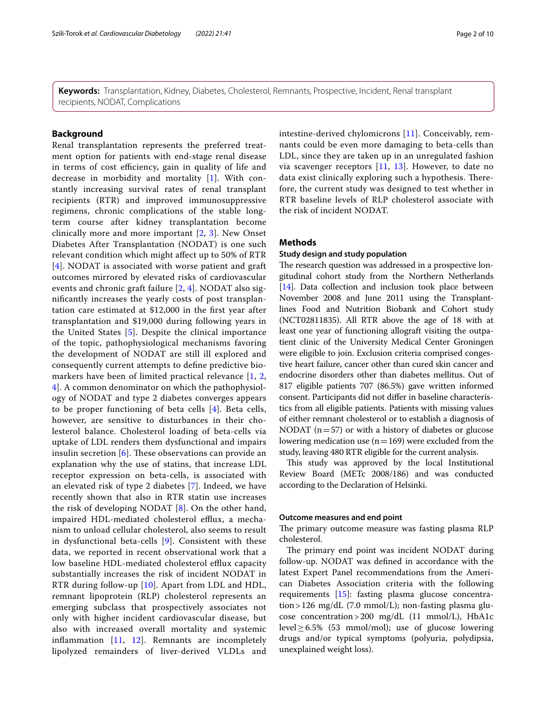**Keywords:** Transplantation, Kidney, Diabetes, Cholesterol, Remnants, Prospective, Incident, Renal transplant recipients, NODAT, Complications

### **Background**

Renal transplantation represents the preferred treatment option for patients with end-stage renal disease in terms of cost efficiency, gain in quality of life and decrease in morbidity and mortality [[1\]](#page-8-0). With constantly increasing survival rates of renal transplant recipients (RTR) and improved immunosuppressive regimens, chronic complications of the stable longterm course after kidney transplantation become clinically more and more important [\[2](#page-8-1), [3](#page-8-2)]. New Onset Diabetes After Transplantation (NODAT) is one such relevant condition which might afect up to 50% of RTR [[4](#page-8-3)]. NODAT is associated with worse patient and graft outcomes mirrored by elevated risks of cardiovascular events and chronic graft failure [[2,](#page-8-1) [4\]](#page-8-3). NODAT also signifcantly increases the yearly costs of post transplantation care estimated at \$12,000 in the frst year after transplantation and \$19,000 during following years in the United States [\[5\]](#page-8-4). Despite the clinical importance of the topic, pathophysiological mechanisms favoring the development of NODAT are still ill explored and consequently current attempts to defne predictive biomarkers have been of limited practical relevance [\[1,](#page-8-0) [2](#page-8-1), [4\]](#page-8-3). A common denominator on which the pathophysiology of NODAT and type 2 diabetes converges appears to be proper functioning of beta cells [\[4](#page-8-3)]. Beta cells, however, are sensitive to disturbances in their cholesterol balance. Cholesterol loading of beta-cells via uptake of LDL renders them dysfunctional and impairs insulin secretion  $[6]$  $[6]$ . These observations can provide an explanation why the use of statins, that increase LDL receptor expression on beta-cells, is associated with an elevated risk of type 2 diabetes [\[7](#page-8-6)]. Indeed, we have recently shown that also in RTR statin use increases the risk of developing NODAT [[8\]](#page-8-7). On the other hand, impaired HDL-mediated cholesterol efflux, a mechanism to unload cellular cholesterol, also seems to result in dysfunctional beta-cells [[9\]](#page-8-8). Consistent with these data, we reported in recent observational work that a low baseline HDL-mediated cholesterol efflux capacity substantially increases the risk of incident NODAT in RTR during follow-up [[10](#page-8-9)]. Apart from LDL and HDL, remnant lipoprotein (RLP) cholesterol represents an emerging subclass that prospectively associates not only with higher incident cardiovascular disease, but also with increased overall mortality and systemic infammation [[11](#page-8-10), [12\]](#page-8-11). Remnants are incompletely lipolyzed remainders of liver-derived VLDLs and intestine-derived chylomicrons [[11](#page-8-10)]. Conceivably, remnants could be even more damaging to beta-cells than LDL, since they are taken up in an unregulated fashion via scavenger receptors  $[11, 13]$  $[11, 13]$  $[11, 13]$ . However, to date no data exist clinically exploring such a hypothesis. Therefore, the current study was designed to test whether in RTR baseline levels of RLP cholesterol associate with the risk of incident NODAT.

### **Methods**

### **Study design and study population**

The research question was addressed in a prospective longitudinal cohort study from the Northern Netherlands [[14](#page-8-13)]. Data collection and inclusion took place between November 2008 and June 2011 using the Transplantlines Food and Nutrition Biobank and Cohort study (NCT02811835). All RTR above the age of 18 with at least one year of functioning allograft visiting the outpatient clinic of the University Medical Center Groningen were eligible to join. Exclusion criteria comprised congestive heart failure, cancer other than cured skin cancer and endocrine disorders other than diabetes mellitus. Out of 817 eligible patients 707 (86.5%) gave written informed consent. Participants did not difer in baseline characteristics from all eligible patients. Patients with missing values of either remnant cholesterol or to establish a diagnosis of NODAT ( $n=57$ ) or with a history of diabetes or glucose lowering medication use  $(n=169)$  were excluded from the study, leaving 480 RTR eligible for the current analysis.

This study was approved by the local Institutional Review Board (METc 2008/186) and was conducted according to the Declaration of Helsinki.

### **Outcome measures and end point**

The primary outcome measure was fasting plasma RLP cholesterol.

The primary end point was incident NODAT during follow-up. NODAT was defned in accordance with the latest Expert Panel recommendations from the American Diabetes Association criteria with the following requirements [[15](#page-8-14)]: fasting plasma glucose concentra $tion > 126$  mg/dL (7.0 mmol/L); non-fasting plasma glucose concentration>200 mg/dL (11 mmol/L), HbA1c level≥6.5% (53 mmol/mol); use of glucose lowering drugs and/or typical symptoms (polyuria, polydipsia, unexplained weight loss).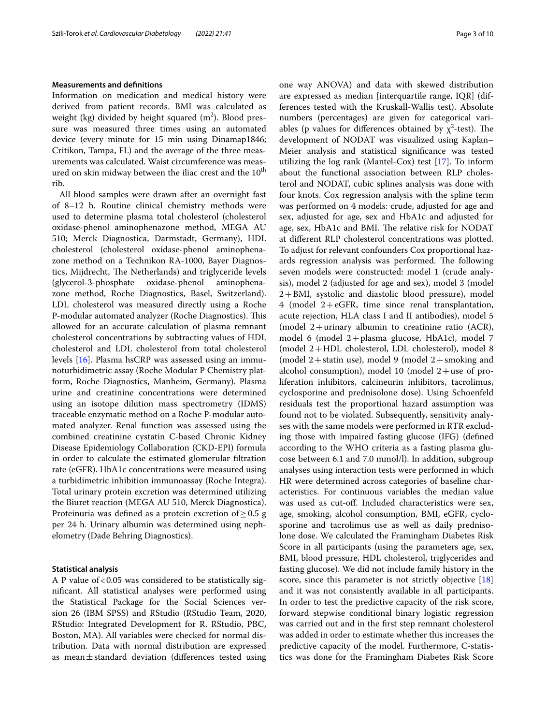### **Measurements and defnitions**

Information on medication and medical history were derived from patient records. BMI was calculated as weight (kg) divided by height squared (m<sup>2</sup>). Blood pressure was measured three times using an automated device (every minute for 15 min using Dinamap1846; Critikon, Tampa, FL) and the average of the three measurements was calculated. Waist circumference was measured on skin midway between the iliac crest and the  $10<sup>th</sup>$ rib.

All blood samples were drawn after an overnight fast of 8–12 h. Routine clinical chemistry methods were used to determine plasma total cholesterol (cholesterol oxidase-phenol aminophenazone method, MEGA AU 510; Merck Diagnostica, Darmstadt, Germany), HDL cholesterol (cholesterol oxidase-phenol aminophenazone method on a Technikon RA-1000, Bayer Diagnostics, Mijdrecht, The Netherlands) and triglyceride levels (glycerol-3-phosphate oxidase-phenol aminophenazone method, Roche Diagnostics, Basel, Switzerland). LDL cholesterol was measured directly using a Roche P-modular automated analyzer (Roche Diagnostics). This allowed for an accurate calculation of plasma remnant cholesterol concentrations by subtracting values of HDL cholesterol and LDL cholesterol from total cholesterol levels [[16\]](#page-8-15). Plasma hsCRP was assessed using an immunoturbidimetric assay (Roche Modular P Chemistry platform, Roche Diagnostics, Manheim, Germany). Plasma urine and creatinine concentrations were determined using an isotope dilution mass spectrometry (IDMS) traceable enzymatic method on a Roche P-modular automated analyzer. Renal function was assessed using the combined creatinine cystatin C-based Chronic Kidney Disease Epidemiology Collaboration (CKD-EPI) formula in order to calculate the estimated glomerular fltration rate (eGFR). HbA1c concentrations were measured using a turbidimetric inhibition immunoassay (Roche Integra). Total urinary protein excretion was determined utilizing the Biuret reaction (MEGA AU 510, Merck Diagnostica). Proteinuria was defined as a protein excretion of  $\geq 0.5$  g per 24 h. Urinary albumin was determined using nephelometry (Dade Behring Diagnostics).

### **Statistical analysis**

A P value of  $< 0.05$  was considered to be statistically signifcant. All statistical analyses were performed using the Statistical Package for the Social Sciences version 26 (IBM SPSS) and RStudio (RStudio Team, 2020, RStudio: Integrated Development for R. RStudio, PBC, Boston, MA). All variables were checked for normal distribution. Data with normal distribution are expressed as mean $\pm$ standard deviation (differences tested using one way ANOVA) and data with skewed distribution are expressed as median [interquartile range, IQR] (differences tested with the Kruskall-Wallis test). Absolute numbers (percentages) are given for categorical variables (p values for differences obtained by  $\chi^2$ -test). The development of NODAT was visualized using Kaplan– Meier analysis and statistical signifcance was tested utilizing the log rank (Mantel-Cox) test [\[17](#page-8-16)]. To inform about the functional association between RLP cholesterol and NODAT, cubic splines analysis was done with four knots. Cox regression analysis with the spline term was performed on 4 models: crude, adjusted for age and sex, adjusted for age, sex and HbA1c and adjusted for age, sex, HbA1c and BMI. The relative risk for NODAT at diferent RLP cholesterol concentrations was plotted. To adjust for relevant confounders Cox proportional hazards regression analysis was performed. The following seven models were constructed: model 1 (crude analysis), model 2 (adjusted for age and sex), model 3 (model 2+BMI, systolic and diastolic blood pressure), model 4 (model 2+eGFR, time since renal transplantation, acute rejection, HLA class I and II antibodies), model 5 (model 2+urinary albumin to creatinine ratio (ACR), model 6 (model 2+plasma glucose, HbA1c), model 7 (model 2+HDL cholesterol, LDL cholesterol), model 8 (model  $2+$ statin use), model 9 (model  $2+$ smoking and alcohol consumption), model 10 (model  $2 +$ use of proliferation inhibitors, calcineurin inhibitors, tacrolimus, cyclosporine and prednisolone dose). Using Schoenfeld residuals test the proportional hazard assumption was found not to be violated. Subsequently, sensitivity analyses with the same models were performed in RTR excluding those with impaired fasting glucose (IFG) (defned according to the WHO criteria as a fasting plasma glucose between 6.1 and 7.0 mmol/l). In addition, subgroup analyses using interaction tests were performed in which HR were determined across categories of baseline characteristics. For continuous variables the median value was used as cut-off. Included characteristics were sex, age, smoking, alcohol consumption, BMI, eGFR, cyclosporine and tacrolimus use as well as daily prednisolone dose. We calculated the Framingham Diabetes Risk Score in all participants (using the parameters age, sex, BMI, blood pressure, HDL cholesterol, triglycerides and fasting glucose). We did not include family history in the score, since this parameter is not strictly objective [[18](#page-8-17)] and it was not consistently available in all participants. In order to test the predictive capacity of the risk score, forward stepwise conditional binary logistic regression was carried out and in the frst step remnant cholesterol was added in order to estimate whether this increases the predictive capacity of the model. Furthermore, C-statistics was done for the Framingham Diabetes Risk Score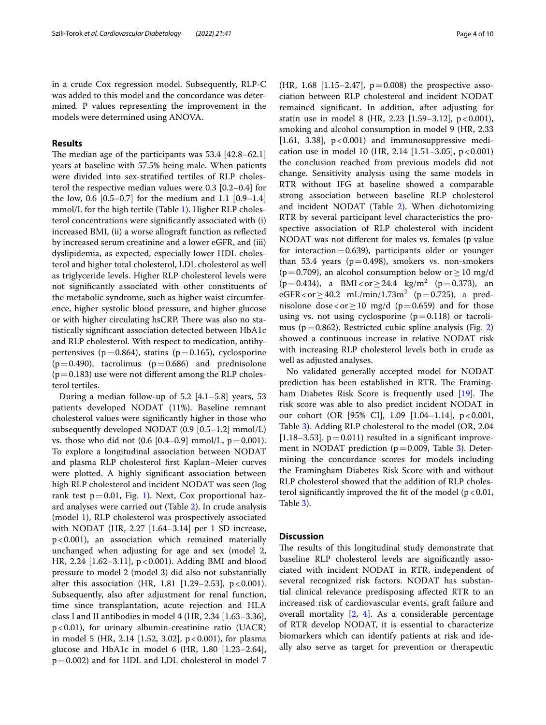in a crude Cox regression model. Subsequently, RLP-C was added to this model and the concordance was determined. P values representing the improvement in the models were determined using ANOVA.

### **Results**

The median age of the participants was  $53.4$  [42.8–62.1] years at baseline with 57.5% being male. When patients were divided into sex-stratifed tertiles of RLP cholesterol the respective median values were 0.3 [0.2–0.4] for the low, 0.6 [0.5–0.7] for the medium and 1.1 [0.9–1.4] mmol/L for the high tertile (Table [1](#page-4-0)). Higher RLP cholesterol concentrations were signifcantly associated with (i) increased BMI, (ii) a worse allograft function as refected by increased serum creatinine and a lower eGFR, and (iii) dyslipidemia, as expected, especially lower HDL cholesterol and higher total cholesterol, LDL cholesterol as well as triglyceride levels. Higher RLP cholesterol levels were not signifcantly associated with other constituents of the metabolic syndrome, such as higher waist circumference, higher systolic blood pressure, and higher glucose or with higher circulating hsCRP. There was also no statistically signifcant association detected between HbA1c and RLP cholesterol. With respect to medication, antihypertensives ( $p=0.864$ ), statins ( $p=0.165$ ), cyclosporine  $(p=0.490)$ , tacrolimus  $(p=0.686)$  and prednisolone  $(p=0.183)$  use were not different among the RLP cholesterol tertiles.

During a median follow-up of 5.2 [4.1–5.8] years, 53 patients developed NODAT (11%). Baseline remnant cholesterol values were signifcantly higher in those who subsequently developed NODAT (0.9 [0.5–1.2] mmol/L) vs. those who did not  $(0.6 [0.4–0.9] mmol/L, p=0.001)$ . To explore a longitudinal association between NODAT and plasma RLP cholesterol frst Kaplan–Meier curves were plotted. A highly signifcant association between high RLP cholesterol and incident NODAT was seen (log rank test  $p=0.01$  $p=0.01$ , Fig. 1). Next, Cox proportional hazard analyses were carried out (Table [2](#page-5-1)). In crude analysis (model 1), RLP cholesterol was prospectively associated with NODAT (HR, 2.27 [1.64–3.14] per 1 SD increase, p<0.001), an association which remained materially unchanged when adjusting for age and sex (model 2, HR, 2.24  $[1.62-3.11]$ , p<0.001). Adding BMI and blood pressure to model 2 (model 3) did also not substantially alter this association (HR, 1.81 [1.29–2.53],  $p < 0.001$ ). Subsequently, also after adjustment for renal function, time since transplantation, acute rejection and HLA class I and II antibodies in model 4 (HR, 2.34 [1.63–3.36],  $p$  < 0.01), for urinary albumin-creatinine ratio (UACR) in model 5 (HR, 2.14 [1.52, 3.02],  $p < 0.001$ ), for plasma glucose and HbA1c in model 6 (HR, 1.80 [1.23–2.64], p=0.002) and for HDL and LDL cholesterol in model 7 (HR, 1.68 [1.15–2.47],  $p=0.008$ ) the prospective association between RLP cholesterol and incident NODAT remained signifcant. In addition, after adjusting for statin use in model 8 (HR, 2.23 [1.59-3.12], p < 0.001), smoking and alcohol consumption in model 9 (HR, 2.33 [1.61, 3.38],  $p < 0.001$ ] and immunosuppressive medication use in model 10 (HR, 2.14 [1.51–3.05],  $p < 0.001$ ) the conclusion reached from previous models did not change. Sensitivity analysis using the same models in RTR without IFG at baseline showed a comparable strong association between baseline RLP cholesterol and incident NODAT (Table [2\)](#page-5-1). When dichotomizing RTR by several participant level characteristics the prospective association of RLP cholesterol with incident NODAT was not diferent for males vs. females (p value for interaction  $=0.639$ ), participants older or younger than 53.4 years ( $p=0.498$ ), smokers vs. non-smokers  $(p=0.709)$ , an alcohol consumption below or  $\geq 10$  mg/d  $(p=0.434)$ , a BMI<or  $\geq$  24.4  $\text{kg/m}^2$  (p = 0.373), an  $eGFR < or \ge 40.2$  mL/min/1.73m<sup>2</sup> (p=0.725), a prednisolone dose<or  $\geq$  10 mg/d (p=0.659) and for those using vs. not using cyclosporine  $(p=0.118)$  or tacrolimus ( $p=0.862$  $p=0.862$ ). Restricted cubic spline analysis (Fig. 2) showed a continuous increase in relative NODAT risk with increasing RLP cholesterol levels both in crude as well as adjusted analyses.

No validated generally accepted model for NODAT prediction has been established in RTR. The Framing-ham Diabetes Risk Score is frequently used [\[19\]](#page-8-18). The risk score was able to also predict incident NODAT in our cohort (OR [95% CI], 1.09 [1.04–1.14], p<0.001, Table [3\)](#page-6-1). Adding RLP cholesterol to the model (OR, 2.04 [ $1.18-3.53$ ].  $p=0.011$ ) resulted in a significant improvement in NODAT prediction ( $p=0.009$ , Table [3](#page-6-1)). Determining the concordance scores for models including the Framingham Diabetes Risk Score with and without RLP cholesterol showed that the addition of RLP cholesterol significantly improved the fit of the model ( $p < 0.01$ , Table [3](#page-6-1)).

### **Discussion**

The results of this longitudinal study demonstrate that baseline RLP cholesterol levels are signifcantly associated with incident NODAT in RTR, independent of several recognized risk factors. NODAT has substantial clinical relevance predisposing afected RTR to an increased risk of cardiovascular events, graft failure and overall mortality  $[2, 4]$  $[2, 4]$  $[2, 4]$  $[2, 4]$ . As a considerable percentage of RTR develop NODAT, it is essential to characterize biomarkers which can identify patients at risk and ideally also serve as target for prevention or therapeutic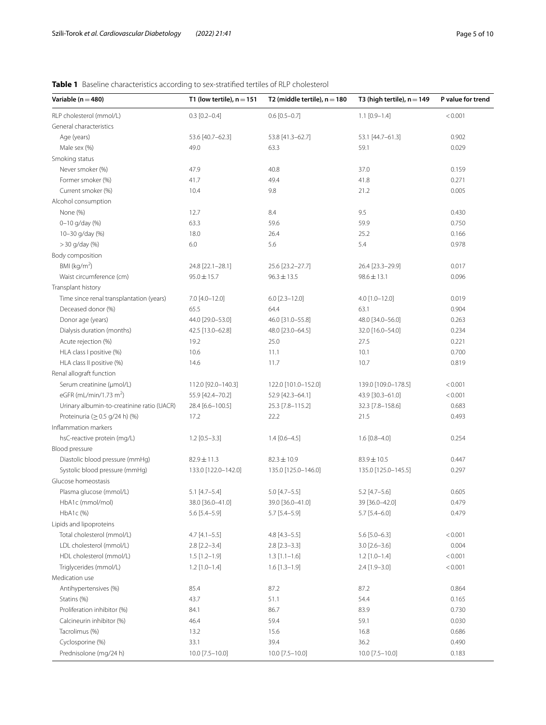# <span id="page-4-0"></span>**Table 1** Baseline characteristics according to sex-stratifed tertiles of RLP cholesterol

| Variable ( $n = 480$ )                                | T1 (low tertile), $n = 151$ | T2 (middle tertile), $n = 180$ | T3 (high tertile), $n = 149$ | P value for trend |
|-------------------------------------------------------|-----------------------------|--------------------------------|------------------------------|-------------------|
| RLP cholesterol (mmol/L)                              | $0.3$ [0.2-0.4]             | $0.6$ [0.5-0.7]                | $1.1$ [0.9-1.4]              | < 0.001           |
| General characteristics                               |                             |                                |                              |                   |
| Age (years)                                           | 53.6 [40.7-62.3]            | 53.8 [41.3-62.7]               | 53.1 [44.7-61.3]             | 0.902             |
| Male sex (%)                                          | 49.0                        | 63.3                           | 59.1                         | 0.029             |
| Smoking status                                        |                             |                                |                              |                   |
| Never smoker (%)                                      | 47.9                        | 40.8                           | 37.0                         | 0.159             |
| Former smoker (%)                                     | 41.7                        | 49.4                           | 41.8                         | 0.271             |
| Current smoker (%)                                    | 10.4                        | 9.8                            | 21.2                         | 0.005             |
| Alcohol consumption                                   |                             |                                |                              |                   |
| None (%)                                              | 12.7                        | 8.4                            | 9.5                          | 0.430             |
| 0-10 g/day (%)                                        | 63.3                        | 59.6                           | 59.9                         | 0.750             |
| 10-30 g/day (%)                                       | 18.0                        | 26.4                           | 25.2                         | 0.166             |
| > 30 g/day (%)                                        | 6.0                         | 5.6                            | 5.4                          | 0.978             |
| Body composition                                      |                             |                                |                              |                   |
| BMI ( $kg/m2$ )                                       | 24.8 [22.1-28.1]            | 25.6 [23.2-27.7]               | 26.4 [23.3-29.9]             | 0.017             |
| Waist circumference (cm)                              | $95.0 \pm 15.7$             | $96.3 \pm 13.5$                | $98.6 \pm 13.1$              | 0.096             |
| Transplant history                                    |                             |                                |                              |                   |
| Time since renal transplantation (years)              | 7.0 [4.0-12.0]              | $6.0$ [2.3-12.0]               | 4.0 [1.0-12.0]               | 0.019             |
| Deceased donor (%)                                    | 65.5                        | 64.4                           | 63.1                         | 0.904             |
| Donor age (years)                                     | 44.0 [29.0-53.0]            | 46.0 [31.0-55.8]               | 48.0 [34.0-56.0]             | 0.263             |
| Dialysis duration (months)                            | 42.5 [13.0-62.8]            | 48.0 [23.0-64.5]               | 32.0 [16.0-54.0]             | 0.234             |
| Acute rejection (%)                                   | 19.2                        | 25.0                           | 27.5                         | 0.221             |
| HLA class I positive (%)                              | 10.6                        | 11.1                           | 10.1                         | 0.700             |
| HLA class II positive (%)                             | 14.6                        | 11.7                           | 10.7                         | 0.819             |
| Renal allograft function                              |                             |                                |                              |                   |
| Serum creatinine (µmol/L)                             | 112.0 [92.0-140.3]          | 122.0 [101.0-152.0]            | 139.0 [109.0-178.5]          | < 0.001           |
| eGFR (mL/min/1.73 m <sup>2</sup> )                    | 55.9 [42.4-70.2]            | 52.9 [42.3-64.1]               | 43.9 [30.3-61.0]             | < 0.001           |
| Urinary albumin-to-creatinine ratio (UACR)            | 28.4 [6.6-100.5]            | 25.3 [7.8-115.2]               | 32.3 [7.8-158.6]             | 0.683             |
| Proteinuria ( $\geq$ 0.5 g/24 h) (%)                  |                             | 22.2                           | 21.5                         | 0.493             |
| Inflammation markers                                  | 17.2                        |                                |                              |                   |
| hsC-reactive protein (mg/L)                           |                             |                                |                              | 0.254             |
| Blood pressure                                        | $1.2$ [0.5-3.3]             | $1.4$ [0.6-4.5]                | $1.6$ [0.8-4.0]              |                   |
|                                                       |                             | $82.3 \pm 10.9$                | 83.9±10.5                    | 0.447             |
| Diastolic blood pressure (mmHg)                       | $82.9 \pm 11.3$             |                                |                              |                   |
| Systolic blood pressure (mmHg)<br>Glucose homeostasis | 133.0 [122.0-142.0]         | 135.0 [125.0-146.0]            | 135.0 [125.0-145.5]          | 0.297             |
|                                                       |                             |                                |                              |                   |
| Plasma glucose (mmol/L)                               | $5.1$ [4.7-5.4]             | $5.0$ [4.7-5.5]                | $5.2$ [4.7-5.6]              | 0.605             |
| HbA1c (mmol/mol)                                      | 38.0 [36.0-41.0]            | 39.0 [36.0-41.0]               | 39 [36.0-42.0]               | 0.479             |
| HbA1c (%)                                             | $5.6$ [5.4-5.9]             | $5.7$ [5.4-5.9]                | $5.7$ [5.4-6.0]              | 0.479             |
| Lipids and lipoproteins                               |                             |                                |                              |                   |
| Total cholesterol (mmol/L)                            | $4.7$ [4.1-5.5]             | $4.8$ [ $4.3 - 5.5$ ]          | $5.6$ [5.0-6.3]              | < 0.001           |
| LDL cholesterol (mmol/L)                              | $2.8$ [ $2.2 - 3.4$ ]       | $2.8$ [ $2.3 - 3.3$ ]          | $3.0$ [ $2.6 - 3.6$ ]        | 0.004             |
| HDL cholesterol (mmol/L)                              | $1.5$ [1.2-1.9]             | $1.3$ [1.1-1.6]                | $1.2$ [1.0-1.4]              | < 0.001           |
| Triglycerides (mmol/L)                                | $1.2$ [1.0-1.4]             | $1.6$ [1.3-1.9]                | $2.4$ [1.9-3.0]              | < 0.001           |
| Medication use                                        |                             |                                |                              |                   |
| Antihypertensives (%)                                 | 85.4                        | 87.2                           | 87.2                         | 0.864             |
| Statins (%)                                           | 43.7                        | 51.1                           | 54.4                         | 0.165             |
| Proliferation inhibitor (%)                           | 84.1                        | 86.7                           | 83.9                         | 0.730             |
| Calcineurin inhibitor (%)                             | 46.4                        | 59.4                           | 59.1                         | 0.030             |
| Tacrolimus (%)                                        | 13.2                        | 15.6                           | 16.8                         | 0.686             |
| Cyclosporine (%)                                      | 33.1                        | 39.4                           | 36.2                         | 0.490             |
| Prednisolone (mg/24 h)                                | 10.0 [7.5-10.0]             | 10.0 [7.5-10.0]                | 10.0 [7.5-10.0]              | 0.183             |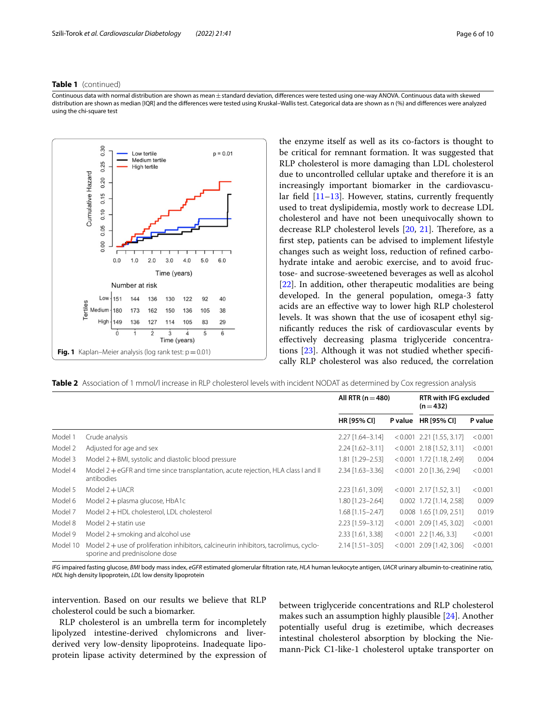### **Table 1** (continued)

Continuous data with normal distribution are shown as mean±standard deviation, diferences were tested using one-way ANOVA. Continuous data with skewed distribution are shown as median [IQR] and the diferences were tested using Kruskal–Wallis test. Categorical data are shown as n (%) and diferences were analyzed using the chi-square test



the enzyme itself as well as its co-factors is thought to be critical for remnant formation. It was suggested that RLP cholesterol is more damaging than LDL cholesterol due to uncontrolled cellular uptake and therefore it is an increasingly important biomarker in the cardiovascular field  $[11–13]$  $[11–13]$  $[11–13]$ . However, statins, currently frequently used to treat dyslipidemia, mostly work to decrease LDL cholesterol and have not been unequivocally shown to decrease RLP cholesterol levels  $[20, 21]$  $[20, 21]$  $[20, 21]$ . Therefore, as a frst step, patients can be advised to implement lifestyle changes such as weight loss, reduction of refned carbohydrate intake and aerobic exercise, and to avoid fructose- and sucrose-sweetened beverages as well as alcohol [[22\]](#page-8-21). In addition, other therapeutic modalities are being developed. In the general population, omega-3 fatty acids are an efective way to lower high RLP cholesterol levels. It was shown that the use of icosapent ethyl signifcantly reduces the risk of cardiovascular events by efectively decreasing plasma triglyceride concentra-tions [[23](#page-8-22)]. Although it was not studied whether specifically RLP cholesterol was also reduced, the correlation

<span id="page-5-1"></span><span id="page-5-0"></span>**Table 2** Association of 1 mmol/l increase in RLP cholesterol levels with incident NODAT as determined by Cox regression analysis

|          |                                                                                                                          | All RTR $(n=480)$  |         | <b>RTR with IFG excluded</b><br>$(n=432)$ |         |
|----------|--------------------------------------------------------------------------------------------------------------------------|--------------------|---------|-------------------------------------------|---------|
|          |                                                                                                                          | <b>HR [95% CI]</b> | P value | <b>HR [95% CI]</b>                        | P value |
| Model 1  | Crude analysis                                                                                                           | 2.27 [1.64-3.14]   |         | $< 0.001$ 2.21 [1.55, 3.17]               | < 0.001 |
| Model 2  | Adjusted for age and sex                                                                                                 | $2.24$ [1.62-3.11] |         | $< 0.001$ 2.18 [1.52, 3.11]               | < 0.001 |
| Model 3  | Model $2 + BMI$ , systolic and diastolic blood pressure                                                                  | 1.81 [1.29-2.53]   |         | $< 0.001$ 1.72 [1.18, 2.49]               | 0.004   |
| Model 4  | Model 2+eGFR and time since transplantation, acute rejection, HLA class I and II<br>antibodies                           | $2.34$ [1.63-3.36] |         | $< 0.001$ 2.0 [1.36, 2.94]                | < 0.001 |
| Model 5  | Model $2 + UACR$                                                                                                         | 2.23 [1.61, 3.09]  |         | $< 0.001$ 2.17 [1.52, 3.1]                | < 0.001 |
| Model 6  | Model 2 + plasma glucose, HbA1c                                                                                          | $1.80$ [1.23-2.64] |         | $0.002$ 1.72 [1.14, 2.58]                 | 0.009   |
| Model 7  | Model 2+HDL cholesterol, LDL cholesterol                                                                                 | $1.68$ [1.15-2.47] |         | $0.008$ 1.65 [1.09, 2.51]                 | 0.019   |
| Model 8  | Model $2 +$ statin use                                                                                                   | $2.23$ [1.59-3.12] |         | $< 0.001$ 2.09 [1.45, 3.02]               | < 0.001 |
| Model 9  | Model $2 +$ smoking and alcohol use                                                                                      | 2.33 [1.61, 3.38]  |         | $< 0.001$ 2.2 [1.46, 3.3]                 | < 0.001 |
| Model 10 | Model $2 +$ use of proliferation inhibitors, calcineurin inhibitors, tacrolimus, cyclo-<br>sporine and prednisolone dose | $2.14$ [1.51-3.05] |         | $< 0.001$ 2.09 [1.42, 3.06]               | < 0.001 |

*IFG* impaired fasting glucose, *BMI* body mass index, *eGFR* estimated glomerular fltration rate, *HLA* human leukocyte antigen, *UACR* urinary albumin-to-creatinine ratio, *HDL* high density lipoprotein, *LDL* low density lipoprotein

intervention. Based on our results we believe that RLP cholesterol could be such a biomarker.

RLP cholesterol is an umbrella term for incompletely lipolyzed intestine-derived chylomicrons and liverderived very low-density lipoproteins. Inadequate lipoprotein lipase activity determined by the expression of between triglyceride concentrations and RLP cholesterol makes such an assumption highly plausible [\[24](#page-8-23)]. Another potentially useful drug is ezetimibe, which decreases intestinal cholesterol absorption by blocking the Niemann-Pick C1-like-1 cholesterol uptake transporter on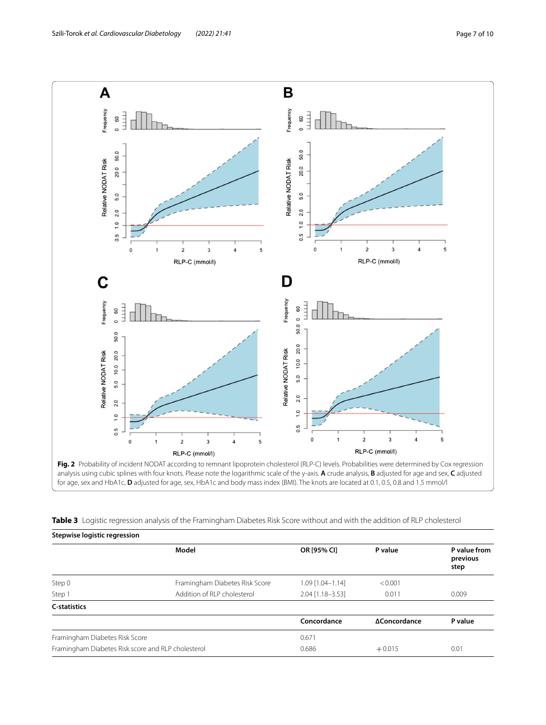

<span id="page-6-0"></span>analysis using cubic splines with four knots. Please note the logarithmic scale of the y-axis. **A** crude analysis, **B** adjusted for age and sex, **C** adjusted for age, sex and HbA1c, **D** adjusted for age, sex, HbA1c and body mass index (BMI). The knots are located at 0.1, 0.5, 0.8 and 1.5 mmol/l

<span id="page-6-1"></span>

|  |  | <b>Table 3</b> Logistic regression analysis of the Framingham Diabetes Risk Score without and with the addition of RLP cholesterol |  |  |
|--|--|------------------------------------------------------------------------------------------------------------------------------------|--|--|
|  |  |                                                                                                                                    |  |  |

| Stepwise logistic regression                       |                                |                    |              |                                  |
|----------------------------------------------------|--------------------------------|--------------------|--------------|----------------------------------|
|                                                    | Model                          | OR [95% CI]        | P value      | P value from<br>previous<br>step |
| Step 0                                             | Framingham Diabetes Risk Score | $1.09$ [1.04-1.14] | < 0.001      |                                  |
| Step 1                                             | Addition of RLP cholesterol    | $2.04$ [1.18-3.53] | 0.011        | 0.009                            |
| <b>C-statistics</b>                                |                                |                    |              |                                  |
|                                                    |                                | Concordance        | ΔConcordance | P value                          |
| Framingham Diabetes Risk Score                     |                                | 0.671              |              |                                  |
| Framingham Diabetes Risk score and RLP cholesterol |                                | 0.686              | $+0.015$     | 0.01                             |
|                                                    |                                |                    |              |                                  |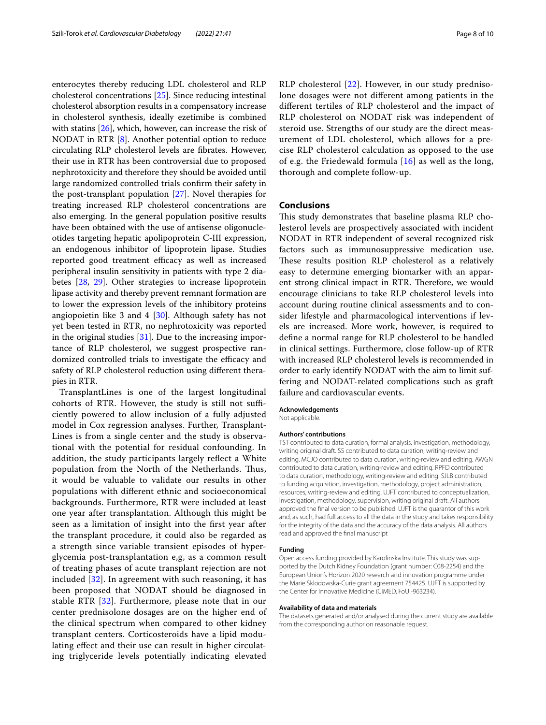enterocytes thereby reducing LDL cholesterol and RLP cholesterol concentrations [\[25\]](#page-8-24). Since reducing intestinal cholesterol absorption results in a compensatory increase in cholesterol synthesis, ideally ezetimibe is combined with statins [[26\]](#page-8-25), which, however, can increase the risk of NODAT in RTR [[8\]](#page-8-7). Another potential option to reduce circulating RLP cholesterol levels are fbrates. However, their use in RTR has been controversial due to proposed nephrotoxicity and therefore they should be avoided until large randomized controlled trials confrm their safety in the post-transplant population [\[27\]](#page-8-26). Novel therapies for treating increased RLP cholesterol concentrations are also emerging. In the general population positive results have been obtained with the use of antisense oligonucleotides targeting hepatic apolipoprotein C-III expression, an endogenous inhibitor of lipoprotein lipase. Studies reported good treatment efficacy as well as increased peripheral insulin sensitivity in patients with type 2 diabetes [[28](#page-8-27), [29](#page-8-28)]. Other strategies to increase lipoprotein lipase activity and thereby prevent remnant formation are to lower the expression levels of the inhibitory proteins angiopoietin like 3 and 4 [\[30\]](#page-8-29). Although safety has not yet been tested in RTR, no nephrotoxicity was reported in the original studies  $[31]$  $[31]$ . Due to the increasing importance of RLP cholesterol, we suggest prospective randomized controlled trials to investigate the efficacy and safety of RLP cholesterol reduction using diferent therapies in RTR.

TransplantLines is one of the largest longitudinal cohorts of RTR. However, the study is still not sufficiently powered to allow inclusion of a fully adjusted model in Cox regression analyses. Further, Transplant-Lines is from a single center and the study is observational with the potential for residual confounding. In addition, the study participants largely reflect a White population from the North of the Netherlands. Thus, it would be valuable to validate our results in other populations with diferent ethnic and socioeconomical backgrounds. Furthermore, RTR were included at least one year after transplantation. Although this might be seen as a limitation of insight into the frst year after the transplant procedure, it could also be regarded as a strength since variable transient episodes of hyperglycemia post-transplantation e,g, as a common result of treating phases of acute transplant rejection are not included [\[32\]](#page-9-0). In agreement with such reasoning, it has been proposed that NODAT should be diagnosed in stable RTR [[32](#page-9-0)]. Furthermore, please note that in our center prednisolone dosages are on the higher end of the clinical spectrum when compared to other kidney transplant centers. Corticosteroids have a lipid modulating efect and their use can result in higher circulating triglyceride levels potentially indicating elevated RLP cholesterol [\[22](#page-8-21)]. However, in our study prednisolone dosages were not diferent among patients in the diferent tertiles of RLP cholesterol and the impact of RLP cholesterol on NODAT risk was independent of steroid use. Strengths of our study are the direct measurement of LDL cholesterol, which allows for a precise RLP cholesterol calculation as opposed to the use of e.g. the Friedewald formula [\[16\]](#page-8-15) as well as the long, thorough and complete follow-up.

### **Conclusions**

This study demonstrates that baseline plasma RLP cholesterol levels are prospectively associated with incident NODAT in RTR independent of several recognized risk factors such as immunosuppressive medication use. These results position RLP cholesterol as a relatively easy to determine emerging biomarker with an apparent strong clinical impact in RTR. Therefore, we would encourage clinicians to take RLP cholesterol levels into account during routine clinical assessments and to consider lifestyle and pharmacological interventions if levels are increased. More work, however, is required to defne a normal range for RLP cholesterol to be handled in clinical settings. Furthermore, close follow-up of RTR with increased RLP cholesterol levels is recommended in order to early identify NODAT with the aim to limit suffering and NODAT-related complications such as graft failure and cardiovascular events.

### **Acknowledgements**

Not applicable.

#### **Authors' contributions**

TST contributed to data curation, formal analysis, investigation, methodology, writing original draft. SS contributed to data curation, writing-review and editing. MCJO contributed to data curation, writing-review and editing. AWGN contributed to data curation, writing-review and editing. RPFD contributed to data curation, methodology, writing-review and editing. SJLB contributed to funding acquisition, investigation, methodology, project administration, resources, writing-review and editing. UJFT contributed to conceptualization, investigation, methodology, supervision, writing original draft. All authors approved the fnal version to be published. UJFT is the guarantor of this work and, as such, had full access to all the data in the study and takes responsibility for the integrity of the data and the accuracy of the data analysis. All authors read and approved the fnal manuscript

#### **Funding**

Open access funding provided by Karolinska Institute. This study was supported by the Dutch Kidney Foundation (grant number: C08-2254) and the European Union's Horizon 2020 research and innovation programme under the Marie Sklodowska-Curie grant agreement 754425. UJFT is supported by the Center for Innovative Medicine (CIMED, FoUI-963234).

#### **Availability of data and materials**

The datasets generated and/or analysed during the current study are available from the corresponding author on reasonable request.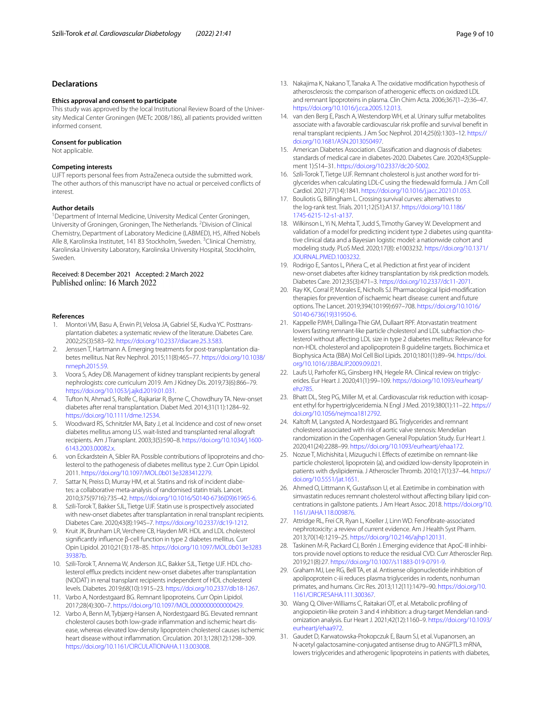### **Declarations**

#### **Ethics approval and consent to participate**

This study was approved by the local Institutional Review Board of the Univer‑ sity Medical Center Groningen (METc 2008/186), all patients provided written informed consent.

#### **Consent for publication**

Not applicable.

#### **Competing interests**

UJFT reports personal fees from AstraZeneca outside the submitted work. The other authors of this manuscript have no actual or perceived conficts of interest.

#### **Author details**

<sup>1</sup> Department of Internal Medicine, University Medical Center Groningen, University of Groningen, Groningen, The Netherlands. <sup>2</sup> Division of Clinical Chemistry, Department of Laboratory Medicine (LABMED), H5, Alfred Nobels Alle 8, Karolinska Institutet, 141 83 Stockholm, Sweden. <sup>3</sup>Clinical Chemistry, Karolinska University Laboratory, Karolinska University Hospital, Stockholm, Sweden.

#### Received: 8 December 2021 Accepted: 2 March 2022 Published online: 16 March 2022

#### **References**

- <span id="page-8-0"></span>1. Montori VM, Basu A, Erwin PJ, Velosa JA, Gabriel SE, Kudva YC. Posttransplantation diabetes: a systematic review of the literature. Diabetes Care. 2002;25(3):583–92. [https://doi.org/10.2337/diacare.25.3.583.](https://doi.org/10.2337/diacare.25.3.583)
- <span id="page-8-1"></span>2. Jenssen T, Hartmann A. Emerging treatments for post-transplantation diabetes mellitus. Nat Rev Nephrol. 2015;11(8):465–77. [https://doi.org/10.1038/](https://doi.org/10.1038/nrneph.2015.59) [nrneph.2015.59.](https://doi.org/10.1038/nrneph.2015.59)
- <span id="page-8-2"></span>3. Voora S, Adey DB. Management of kidney transplant recipients by general nephrologists: core curriculum 2019. Am J Kidney Dis. 2019;73(6):866–79. <https://doi.org/10.1053/j.ajkd.2019.01.031>.
- <span id="page-8-3"></span>4. Tufton N, Ahmad S, Rolfe C, Rajkariar R, Byrne C, Chowdhury TA. New-onset diabetes after renal transplantation. Diabet Med. 2014;31(11):1284–92. <https://doi.org/10.1111/dme.12534>.
- <span id="page-8-4"></span>5. Woodward RS, Schnitzler MA, Baty J, et al. Incidence and cost of new onset diabetes mellitus among U.S. wait-listed and transplanted renal allograft recipients. Am J Transplant. 2003;3(5):590–8. [https://doi.org/10.1034/j.1600-](https://doi.org/10.1034/j.1600-6143.2003.00082.x) [6143.2003.00082.x.](https://doi.org/10.1034/j.1600-6143.2003.00082.x)
- <span id="page-8-5"></span>6. von Eckardstein A, Sibler RA. Possible contributions of lipoproteins and cholesterol to the pathogenesis of diabetes mellitus type 2. Curr Opin Lipidol. 2011. <https://doi.org/10.1097/MOL.0b013e3283412279>.
- <span id="page-8-6"></span>7. Sattar N, Preiss D, Murray HM, et al. Statins and risk of incident diabetes: a collaborative meta-analysis of randomised statin trials. Lancet. 2010;375(9716):735–42. [https://doi.org/10.1016/S0140-6736\(09\)61965-6.](https://doi.org/10.1016/S0140-6736(09)61965-6)
- <span id="page-8-7"></span>8. Szili-Torok T, Bakker SJL, Tietge UJF. Statin use is prospectively associated with new-onset diabetes after transplantation in renal transplant recipients. Diabetes Care. 2020;43(8):1945–7. [https://doi.org/10.2337/dc19-1212.](https://doi.org/10.2337/dc19-1212)
- <span id="page-8-8"></span>9. Kruit JK, Brunham LR, Verchere CB, Hayden MR. HDL and LDL cholesterol signifcantly infuence β-cell function in type 2 diabetes mellitus. Curr Opin Lipidol. 2010;21(3):178–85. [https://doi.org/10.1097/MOL.0b013e3283](https://doi.org/10.1097/MOL.0b013e328339387b) [39387b](https://doi.org/10.1097/MOL.0b013e328339387b).
- <span id="page-8-9"></span>10. Szili-Torok T, Annema W, Anderson JLC, Bakker SJL, Tietge UJF. HDL cholesterol efflux predicts incident new-onset diabetes after transplantation (NODAT) in renal transplant recipients independent of HDL cholesterol levels. Diabetes. 2019;68(10):1915–23. [https://doi.org/10.2337/db18-1267.](https://doi.org/10.2337/db18-1267)
- <span id="page-8-10"></span>11. Varbo A, Nordestgaard BG. Remnant lipoproteins. Curr Opin Lipidol. 2017;28(4):300–7. [https://doi.org/10.1097/MOL.0000000000000429.](https://doi.org/10.1097/MOL.0000000000000429)
- <span id="page-8-11"></span>12. Varbo A, Benn M, Tybjærg-Hansen A, Nordestgaard BG. Elevated remnant cholesterol causes both low-grade inflammation and ischemic heart disease, whereas elevated low-density lipoprotein cholesterol causes ischemic heart disease without infammation. Circulation. 2013;128(12):1298–309. <https://doi.org/10.1161/CIRCULATIONAHA.113.003008>.
- <span id="page-8-12"></span>13. Nakajima K, Nakano T, Tanaka A. The oxidative modifcation hypothesis of atherosclerosis: the comparison of atherogenic efects on oxidized LDL and remnant lipoproteins in plasma. Clin Chim Acta. 2006;367(1–2):36–47. <https://doi.org/10.1016/j.cca.2005.12.013>.
- <span id="page-8-13"></span>14. van den Berg E, Pasch A, Westendorp WH, et al. Urinary sulfur metabolites associate with a favorable cardiovascular risk profle and survival beneft in renal transplant recipients. J Am Soc Nephrol. 2014;25(6):1303–12. [https://](https://doi.org/10.1681/ASN.2013050497) [doi.org/10.1681/ASN.2013050497.](https://doi.org/10.1681/ASN.2013050497)
- <span id="page-8-14"></span>15. American Diabetes Association. Classifcation and diagnosis of diabetes: standards of medical care in diabetes-2020. Diabetes Care. 2020;43(Supplement 1):S14–31. <https://doi.org/10.2337/dc20-S002>.
- <span id="page-8-15"></span>16. Szili-Torok T, Tietge UJF. Remnant cholesterol is just another word for triglycerides when calculating LDL-C using the friedewald formula. J Am Coll Cardiol. 2021;77(14):1841. [https://doi.org/10.1016/j.jacc.2021.01.053.](https://doi.org/10.1016/j.jacc.2021.01.053)
- <span id="page-8-16"></span>17. Bouliotis G, Billingham L. Crossing survival curves: alternatives to the log-rank test. Trials. 2011;12(S1):A137. [https://doi.org/10.1186/](https://doi.org/10.1186/1745-6215-12-s1-a137) [1745-6215-12-s1-a137](https://doi.org/10.1186/1745-6215-12-s1-a137).
- <span id="page-8-17"></span>18. Wilkinson L, Yi N, Mehta T, Judd S, Timothy Garvey W. Development and validation of a model for predicting incident type 2 diabetes using quantitative clinical data and a Bayesian logistic model: a nationwide cohort and modeling study. PLoS Med. 2020;17(8): e1003232. [https://doi.org/10.1371/](https://doi.org/10.1371/JOURNAL.PMED.1003232) [JOURNAL.PMED.1003232](https://doi.org/10.1371/JOURNAL.PMED.1003232).
- <span id="page-8-18"></span>19. Rodrigo E, Santos L, Piñera C, et al. Prediction at frst year of incident new-onset diabetes after kidney transplantation by risk prediction models. Diabetes Care. 2012;35(3):471–3.<https://doi.org/10.2337/dc11-2071>.
- <span id="page-8-19"></span>20. Ray KK, Corral P, Morales E, Nicholls SJ. Pharmacological lipid-modification therapies for prevention of ischaemic heart disease: current and future options. The Lancet. 2019;394(10199):697–708. [https://doi.org/10.1016/](https://doi.org/10.1016/S0140-6736(19)31950-6) [S0140-6736\(19\)31950-6](https://doi.org/10.1016/S0140-6736(19)31950-6).
- <span id="page-8-20"></span>21. Kappelle PJWH, Dallinga-Thie GM, Dullaart RPF. Atorvastatin treatment lowers fasting remnant-like particle cholesterol and LDL subfraction cholesterol without afecting LDL size in type 2 diabetes mellitus: Relevance for non-HDL cholesterol and apolipoprotein B guideline targets. Biochimica et Biophysica Acta (BBA) Mol Cell Biol Lipids. 2010;1801(1):89–94. [https://doi.](https://doi.org/10.1016/J.BBALIP.2009.09.021) [org/10.1016/J.BBALIP.2009.09.021](https://doi.org/10.1016/J.BBALIP.2009.09.021).
- <span id="page-8-21"></span>22. Laufs U, Parhofer KG, Ginsberg HN, Hegele RA. Clinical review on triglycerides. Eur Heart J. 2020;41(1):99–109. [https://doi.org/10.1093/eurheartj/](https://doi.org/10.1093/eurheartj/ehz785) [ehz785.](https://doi.org/10.1093/eurheartj/ehz785)
- <span id="page-8-22"></span>23. Bhatt DL, Steg PG, Miller M, et al. Cardiovascular risk reduction with icosapent ethyl for hypertriglyceridemia. N Engl J Med. 2019;380(1):11–22. [https://](https://doi.org/10.1056/nejmoa1812792) [doi.org/10.1056/nejmoa1812792.](https://doi.org/10.1056/nejmoa1812792)
- <span id="page-8-23"></span>24. Kaltoft M, Langsted A, Nordestgaard BG. Triglycerides and remnant cholesterol associated with risk of aortic valve stenosis: Mendelian randomization in the Copenhagen General Population Study. Eur Heart J. 2020;41(24):2288–99. [https://doi.org/10.1093/eurheartj/ehaa172.](https://doi.org/10.1093/eurheartj/ehaa172)
- <span id="page-8-24"></span>25. Nozue T, Michishita I, Mizuguchi I. Efects of ezetimibe on remnant-like particle cholesterol, lipoprotein (a), and oxidized low-density lipoprotein in patients with dyslipidemia. J Atheroscler Thromb. 2010;17(1):37–44. [https://](https://doi.org/10.5551/jat.1651) [doi.org/10.5551/jat.1651](https://doi.org/10.5551/jat.1651).
- <span id="page-8-25"></span>26. Ahmed O, Littmann K, Gustafsson U, et al. Ezetimibe in combination with simvastatin reduces remnant cholesterol without affecting biliary lipid concentrations in gallstone patients. J Am Heart Assoc. 2018. [https://doi.org/10.](https://doi.org/10.1161/JAHA.118.009876) [1161/JAHA.118.009876.](https://doi.org/10.1161/JAHA.118.009876)
- <span id="page-8-26"></span>27. Attridge RL, Frei CR, Ryan L, Koeller J, Linn WD. Fenofbrate-associated nephrotoxicity: a review of current evidence. Am J Health Syst Pharm. 2013;70(14):1219–25.<https://doi.org/10.2146/ajhp120131>.
- <span id="page-8-27"></span>28. Taskinen M-R, Packard CJ, Borén J. Emerging evidence that ApoC-III inhibitors provide novel options to reduce the residual CVD. Curr Atheroscler Rep. 2019;21(8):27. <https://doi.org/10.1007/s11883-019-0791-9>.
- <span id="page-8-28"></span>29. Graham MJ, Lee RG, Bell TA, et al. Antisense oligonucleotide inhibition of apolipoprotein c-iii reduces plasma triglycerides in rodents, nonhuman primates, and humans. Circ Res. 2013;112(11):1479–90. [https://doi.org/10.](https://doi.org/10.1161/CIRCRESAHA.111.300367) [1161/CIRCRESAHA.111.300367](https://doi.org/10.1161/CIRCRESAHA.111.300367).
- <span id="page-8-29"></span>30. Wang Q, Oliver-Williams C, Raitakari OT, et al. Metabolic profling of angiopoietin-like protein 3 and 4 inhibition: a drug-target Mendelian randomization analysis. Eur Heart J. 2021;42(12):1160–9. [https://doi.org/10.1093/](https://doi.org/10.1093/eurheartj/ehaa972) eurhearti/ehaa972.
- <span id="page-8-30"></span>31. Gaudet D, Karwatowska-Prokopczuk E, Baum SJ, et al. Vupanorsen, an N-acetyl galactosamine-conjugated antisense drug to ANGPTL3 mRNA, lowers triglycerides and atherogenic lipoproteins in patients with diabetes,